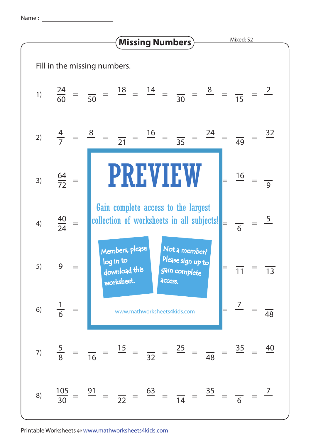Name :